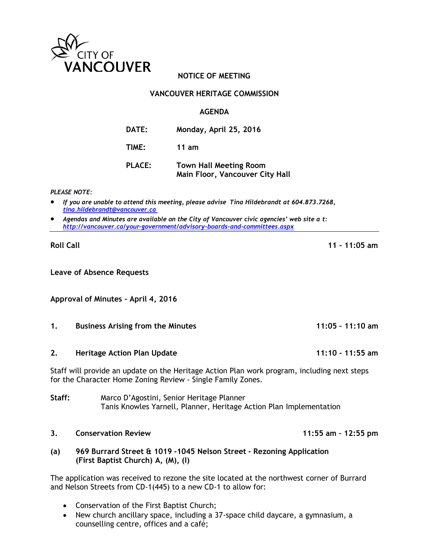

# **NOTICE OF MEETING**

## **VANCOUVER HERITAGE COMMISSION**

### **AGENDA**

| <b>DATE:</b>  | Monday, April 25, 2016                                           |
|---------------|------------------------------------------------------------------|
| TIME:         | 11 am                                                            |
| <b>PLACE:</b> | <b>Town Hall Meeting Room</b><br>Main Floor, Vancouver City Hall |

*PLEASE NOTE:*

- *If you are unable to attend this meeting, please advise Tina Hildebrandt at 604.873.7268, [tina.hildebrandt@vancouver.ca](mailto:tina.hildebrandt@vancouver.ca)*
- *Agendas and Minutes are available on the City of Vancouver civic agencies' web site a t: <http://vancouver.ca/your-government/advisory-boards-and-committees.aspx>*

**Leave of Absence Requests**

**Approval of Minutes – April 4, 2016**

#### **1. Business Arising from the Minutes 11:05 – 11:10 am**

**2. Heritage Action Plan Update 11:10 - 11:55 am**

Staff will provide an update on the Heritage Action Plan work program, including next steps for the Character Home Zoning Review - Single Family Zones.

**Staff:** Marco D'Agostini, Senior Heritage Planner Tanis Knowles Yarnell, Planner, Heritage Action Plan Implementation

### **3. Conservation Review 11:55 am – 12:55 pm**

**(a) 969 Burrard Street & 1019 -1045 Nelson Street - Rezoning Application (First Baptist Church) A, (M), (I)**

The application was received to rezone the site located at the northwest corner of Burrard and Nelson Streets from CD-1(445) to a new CD-1 to allow for:

- Conservation of the First Baptist Church;
- New church ancillary space, including a 37-space child daycare, a gymnasium, a counselling centre, offices and a café;

**Roll Call 11 – 11:05 am**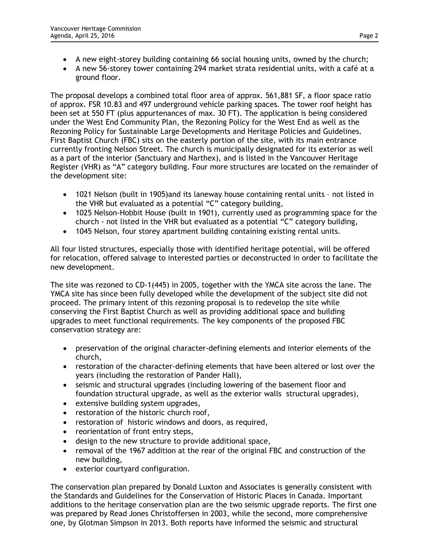- A new eight-storey building containing 66 social housing units, owned by the church;
- A new 56-storey tower containing 294 market strata residential units, with a café at a ground floor.

The proposal develops a combined total floor area of approx. 561,881 SF, a floor space ratio of approx. FSR 10.83 and 497 underground vehicle parking spaces. The tower roof height has been set at 550 FT (plus appurtenances of max. 30 FT). The application is being considered under the West End Community Plan, the Rezoning Policy for the West End as well as the Rezoning Policy for Sustainable Large Developments and Heritage Policies and Guidelines. First Baptist Church (FBC) sits on the easterly portion of the site, with its main entrance currently fronting Nelson Street. The church is municipally designated for its exterior as well as a part of the interior (Sanctuary and Narthex), and is listed in the Vancouver Heritage Register (VHR) as "A" category building. Four more structures are located on the remainder of the development site:

- 1021 Nelson (built in 1905)and its laneway house containing rental units not listed in the VHR but evaluated as a potential "C" category building,
- 1025 Nelson-Hobbit House (built in 1901), currently used as programming space for the church - not listed in the VHR but evaluated as a potential "C" category building,
- 1045 Nelson, four storey apartment building containing existing rental units.

All four listed structures, especially those with identified heritage potential, will be offered for relocation, offered salvage to interested parties or deconstructed in order to facilitate the new development.

The site was rezoned to CD-1(445) in 2005, together with the YMCA site across the lane. The YMCA site has since been fully developed while the development of the subject site did not proceed. The primary intent of this rezoning proposal is to redevelop the site while conserving the First Baptist Church as well as providing additional space and building upgrades to meet functional requirements. The key components of the proposed FBC conservation strategy are:

- preservation of the original character-defining elements and interior elements of the church,
- restoration of the character-defining elements that have been altered or lost over the years (including the restoration of Pander Hall),
- seismic and structural upgrades (including lowering of the basement floor and foundation structural upgrade, as well as the exterior walls structural upgrades),
- extensive building system upgrades,
- restoration of the historic church roof,
- restoration of historic windows and doors, as required,
- reorientation of front entry steps,
- design to the new structure to provide additional space,
- removal of the 1967 addition at the rear of the original FBC and construction of the new building,
- exterior courtyard configuration.

The conservation plan prepared by Donald Luxton and Associates is generally consistent with the Standards and Guidelines for the Conservation of Historic Places in Canada. Important additions to the heritage conservation plan are the two seismic upgrade reports. The first one was prepared by Read Jones Christoffersen in 2003, while the second, more comprehensive one, by Glotman Simpson in 2013. Both reports have informed the seismic and structural